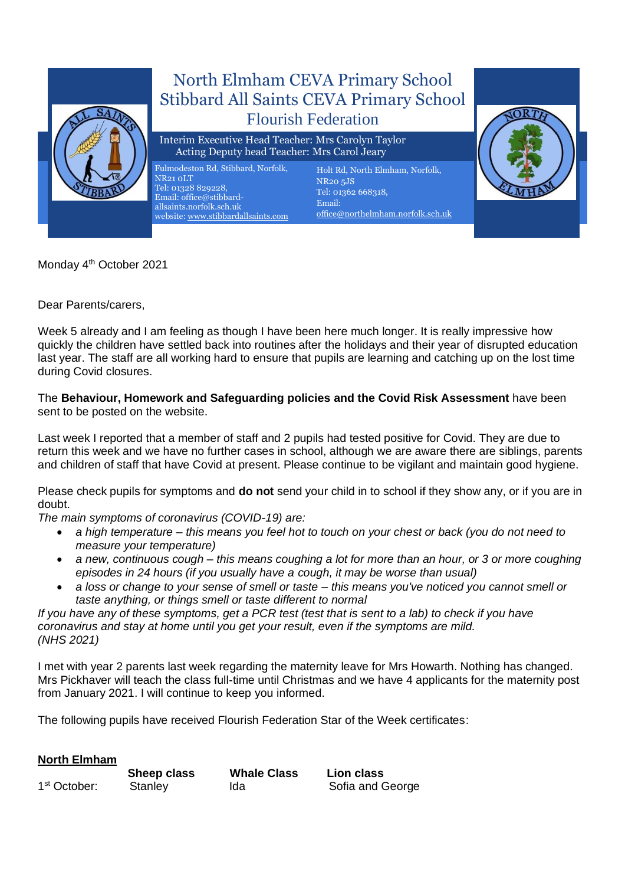

Monday 4<sup>th</sup> October 2021

Dear Parents/carers,

Week 5 already and I am feeling as though I have been here much longer. It is really impressive how quickly the children have settled back into routines after the holidays and their year of disrupted education last year. The staff are all working hard to ensure that pupils are learning and catching up on the lost time during Covid closures.

The **Behaviour, Homework and Safeguarding policies and the Covid Risk Assessment** have been sent to be posted on the website.

Last week I reported that a member of staff and 2 pupils had tested positive for Covid. They are due to return this week and we have no further cases in school, although we are aware there are siblings, parents and children of staff that have Covid at present. Please continue to be vigilant and maintain good hygiene.

Please check pupils for symptoms and **do not** send your child in to school if they show any, or if you are in doubt.

*The main symptoms of coronavirus (COVID-19) are:*

- *a high temperature – this means you feel hot to touch on your chest or back (you do not need to measure your temperature)*
- *a new, continuous cough – this means coughing a lot for more than an hour, or 3 or more coughing episodes in 24 hours (if you usually have a cough, it may be worse than usual)*
- *a loss or change to your sense of smell or taste – this means you've noticed you cannot smell or taste anything, or things smell or taste different to normal*

*If you have any of these symptoms, get a PCR test (test that is sent to a lab) to check if you have coronavirus and stay at home until you get your result, even if the symptoms are mild. (NHS 2021)*

I met with year 2 parents last week regarding the maternity leave for Mrs Howarth. Nothing has changed. Mrs Pickhaver will teach the class full-time until Christmas and we have 4 applicants for the maternity post from January 2021. I will continue to keep you informed.

The following pupils have received Flourish Federation Star of the Week certificates:

|                          | Sheep class | <b>Whale Class</b> | Lion class       |
|--------------------------|-------------|--------------------|------------------|
| 1 <sup>st</sup> October: | Stanley     | Ida                | Sofia and George |